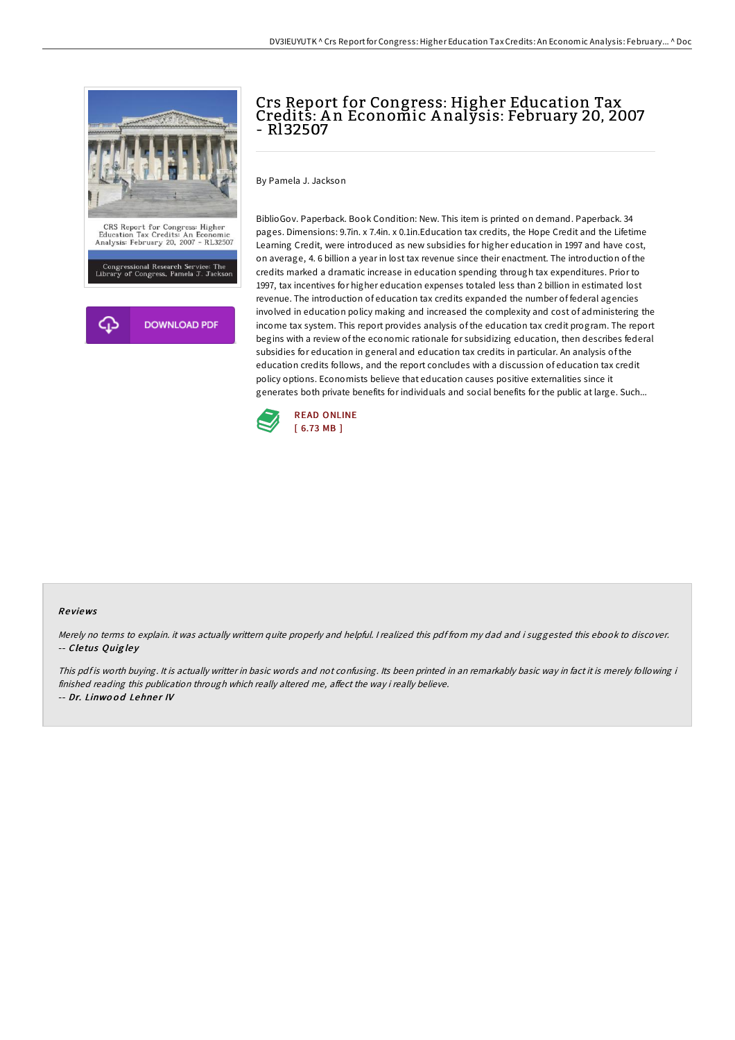

## Crs Report for Congress: Higher Education Tax Credits: A n Economic A nalysis: February 20, 2007 - Rl32507

By Pamela J. Jackson

BiblioGov. Paperback. Book Condition: New. This item is printed on demand. Paperback. 34 pages. Dimensions: 9.7in. x 7.4in. x 0.1in.Education tax credits, the Hope Credit and the Lifetime Learning Credit, were introduced as new subsidies for higher education in 1997 and have cost, on average, 4. 6 billion a year in lost tax revenue since their enactment. The introduction of the credits marked a dramatic increase in education spending through tax expenditures. Prior to 1997, tax incentives for higher education expenses totaled less than 2 billion in estimated lost revenue. The introduction of education tax credits expanded the number of federal agencies involved in education policy making and increased the complexity and cost of administering the income tax system. This report provides analysis of the education tax credit program. The report begins with a review of the economic rationale for subsidizing education, then describes federal subsidies for education in general and education tax credits in particular. An analysis of the education credits follows, and the report concludes with a discussion of education tax credit policy options. Economists believe that education causes positive externalities since it generates both private benefits for individuals and social benefits for the public at large. Such...



## Re views

Merely no terms to explain. it was actually writtern quite properly and helpful. <sup>I</sup> realized this pdf from my dad and i suggested this ebook to discover. -- Cletus Quigley

This pdf is worth buying. It is actually writter in basic words and not confusing. Its been printed in an remarkably basic way in fact it is merely following i finished reading this publication through which really altered me, affect the way i really believe. -- Dr. Linwood Lehner IV